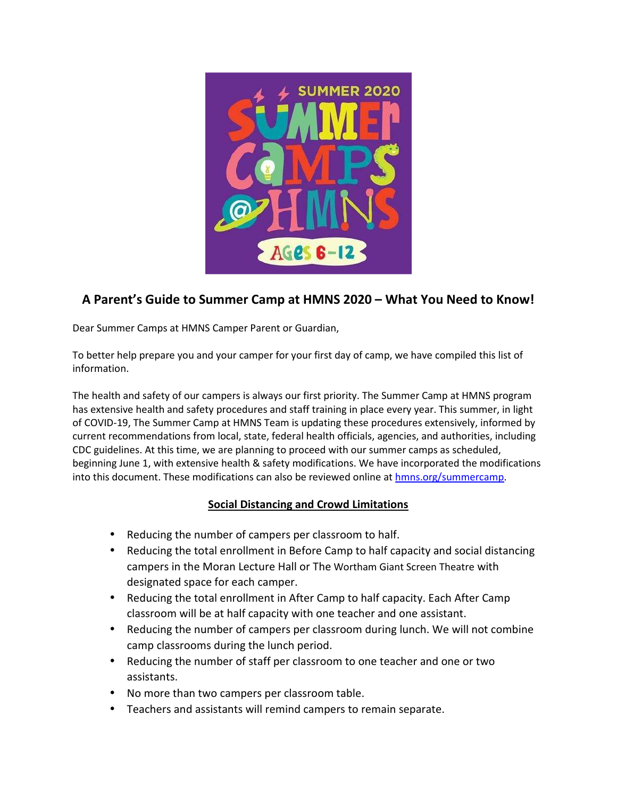

# **A Parent's Guide to Summer Camp at HMNS 2020 – What You Need to Know!**

Dear Summer Camps at HMNS Camper Parent or Guardian,

To better help prepare you and your camper for your first day of camp, we have compiled this list of information.

The health and safety of our campers is always our first priority. The Summer Camp at HMNS program has extensive health and safety procedures and staff training in place every year. This summer, in light of COVID-19, The Summer Camp at HMNS Team is updating these procedures extensively, informed by current recommendations from local, state, federal health officials, agencies, and authorities, including CDC guidelines. At this time, we are planning to proceed with our summer camps as scheduled, beginning June 1, with extensive health & safety modifications. We have incorporated the modifications into this document. These modifications can also be reviewed online at hmns.org/summercamp.

#### **Social Distancing and Crowd Limitations**

- Reducing the number of campers per classroom to half.
- Reducing the total enrollment in Before Camp to half capacity and social distancing campers in the Moran Lecture Hall or The Wortham Giant Screen Theatre with designated space for each camper.
- Reducing the total enrollment in After Camp to half capacity. Each After Camp classroom will be at half capacity with one teacher and one assistant.
- Reducing the number of campers per classroom during lunch. We will not combine camp classrooms during the lunch period.
- Reducing the number of staff per classroom to one teacher and one or two assistants.
- No more than two campers per classroom table.
- Teachers and assistants will remind campers to remain separate.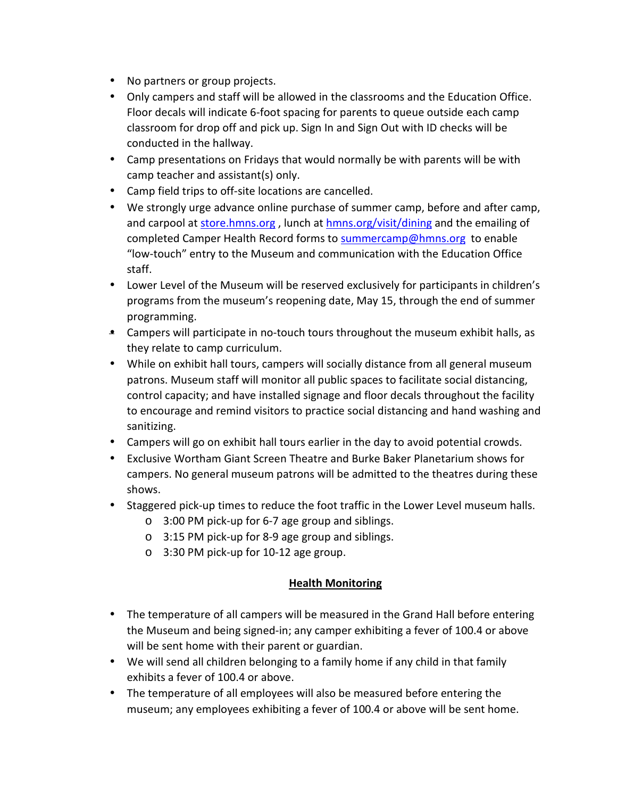- No partners or group projects.
- Only campers and staff will be allowed in the classrooms and the Education Office. Floor decals will indicate 6-foot spacing for parents to queue outside each camp classroom for drop off and pick up. Sign In and Sign Out with ID checks will be conducted in the hallway.
- Camp presentations on Fridays that would normally be with parents will be with camp teacher and assistant(s) only.
- Camp field trips to off-site locations are cancelled.
- We strongly urge advance online purchase of summer camp, before and after camp, and carpool at store.hmns.org, lunch at hmns.org/visit/dining and the emailing of completed Camper Health Record forms to summercamp@hmns.org to enable "low-touch" entry to the Museum and communication with the Education Office staff.
- Lower Level of the Museum will be reserved exclusively for participants in children's programs from the museum's reopening date, May 15, through the end of summer programming.
- Campers will participate in no-touch tours throughout the museum exhibit halls, as they relate to camp curriculum.
- While on exhibit hall tours, campers will socially distance from all general museum patrons. Museum staff will monitor all public spaces to facilitate social distancing, control capacity; and have installed signage and floor decals throughout the facility to encourage and remind visitors to practice social distancing and hand washing and sanitizing.
- Campers will go on exhibit hall tours earlier in the day to avoid potential crowds.
- Exclusive Wortham Giant Screen Theatre and Burke Baker Planetarium shows for campers. No general museum patrons will be admitted to the theatres during these shows.
- Staggered pick-up times to reduce the foot traffic in the Lower Level museum halls.
	- o 3:00 PM pick-up for 6-7 age group and siblings.
	- o 3:15 PM pick-up for 8-9 age group and siblings.
	- o 3:30 PM pick-up for 10-12 age group.

#### **Health Monitoring**

- The temperature of all campers will be measured in the Grand Hall before entering the Museum and being signed-in; any camper exhibiting a fever of 100.4 or above will be sent home with their parent or guardian.
- We will send all children belonging to a family home if any child in that family exhibits a fever of 100.4 or above.
- The temperature of all employees will also be measured before entering the museum; any employees exhibiting a fever of 100.4 or above will be sent home.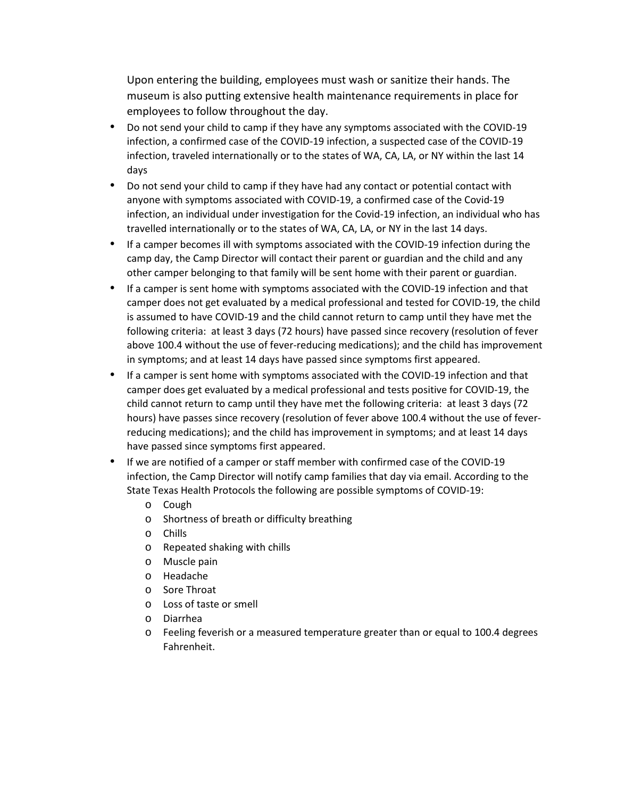Upon entering the building, employees must wash or sanitize their hands. The museum is also putting extensive health maintenance requirements in place for employees to follow throughout the day.

- Do not send your child to camp if they have any symptoms associated with the COVID-19 infection, a confirmed case of the COVID-19 infection, a suspected case of the COVID-19 infection, traveled internationally or to the states of WA, CA, LA, or NY within the last 14 days
- Do not send your child to camp if they have had any contact or potential contact with anyone with symptoms associated with COVID-19, a confirmed case of the Covid-19 infection, an individual under investigation for the Covid-19 infection, an individual who has travelled internationally or to the states of WA, CA, LA, or NY in the last 14 days.
- If a camper becomes ill with symptoms associated with the COVID-19 infection during the camp day, the Camp Director will contact their parent or guardian and the child and any other camper belonging to that family will be sent home with their parent or guardian.
- If a camper is sent home with symptoms associated with the COVID-19 infection and that camper does not get evaluated by a medical professional and tested for COVID-19, the child is assumed to have COVID-19 and the child cannot return to camp until they have met the following criteria: at least 3 days (72 hours) have passed since recovery (resolution of fever above 100.4 without the use of fever-reducing medications); and the child has improvement in symptoms; and at least 14 days have passed since symptoms first appeared.
- If a camper is sent home with symptoms associated with the COVID-19 infection and that camper does get evaluated by a medical professional and tests positive for COVID-19, the child cannot return to camp until they have met the following criteria: at least 3 days (72 hours) have passes since recovery (resolution of fever above 100.4 without the use of feverreducing medications); and the child has improvement in symptoms; and at least 14 days have passed since symptoms first appeared.
- If we are notified of a camper or staff member with confirmed case of the COVID-19 infection, the Camp Director will notify camp families that day via email. According to the State Texas Health Protocols the following are possible symptoms of COVID-19:
	- o Cough
	- o Shortness of breath or difficulty breathing
	- o Chills
	- o Repeated shaking with chills
	- o Muscle pain
	- o Headache
	- o Sore Throat
	- o Loss of taste or smell
	- o Diarrhea
	- o Feeling feverish or a measured temperature greater than or equal to 100.4 degrees Fahrenheit.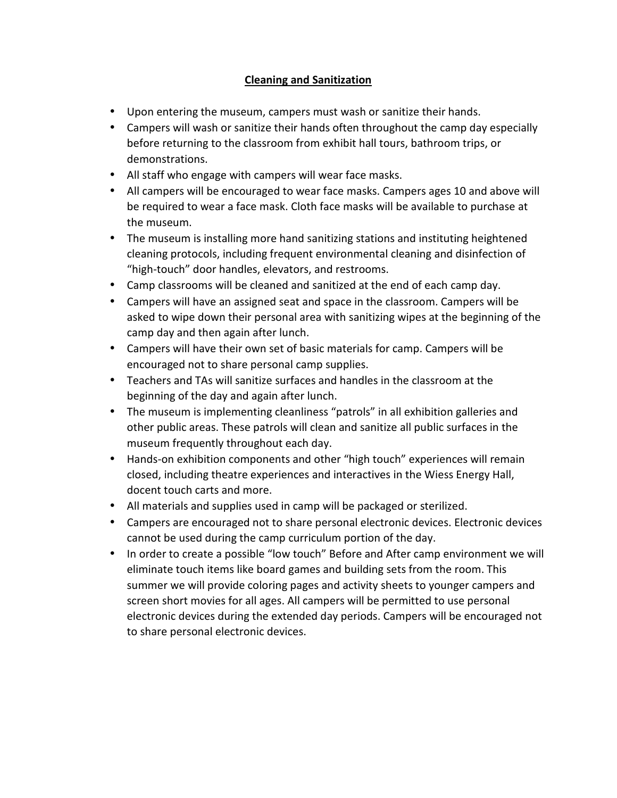## **Cleaning and Sanitization**

- Upon entering the museum, campers must wash or sanitize their hands.
- Campers will wash or sanitize their hands often throughout the camp day especially before returning to the classroom from exhibit hall tours, bathroom trips, or demonstrations.
- All staff who engage with campers will wear face masks.
- All campers will be encouraged to wear face masks. Campers ages 10 and above will be required to wear a face mask. Cloth face masks will be available to purchase at the museum.
- The museum is installing more hand sanitizing stations and instituting heightened cleaning protocols, including frequent environmental cleaning and disinfection of "high-touch" door handles, elevators, and restrooms.
- Camp classrooms will be cleaned and sanitized at the end of each camp day.
- Campers will have an assigned seat and space in the classroom. Campers will be asked to wipe down their personal area with sanitizing wipes at the beginning of the camp day and then again after lunch.
- Campers will have their own set of basic materials for camp. Campers will be encouraged not to share personal camp supplies.
- Teachers and TAs will sanitize surfaces and handles in the classroom at the beginning of the day and again after lunch.
- The museum is implementing cleanliness "patrols" in all exhibition galleries and other public areas. These patrols will clean and sanitize all public surfaces in the museum frequently throughout each day.
- Hands-on exhibition components and other "high touch" experiences will remain closed, including theatre experiences and interactives in the Wiess Energy Hall, docent touch carts and more.
- All materials and supplies used in camp will be packaged or sterilized.
- Campers are encouraged not to share personal electronic devices. Electronic devices cannot be used during the camp curriculum portion of the day.
- In order to create a possible "low touch" Before and After camp environment we will eliminate touch items like board games and building sets from the room. This summer we will provide coloring pages and activity sheets to younger campers and screen short movies for all ages. All campers will be permitted to use personal electronic devices during the extended day periods. Campers will be encouraged not to share personal electronic devices.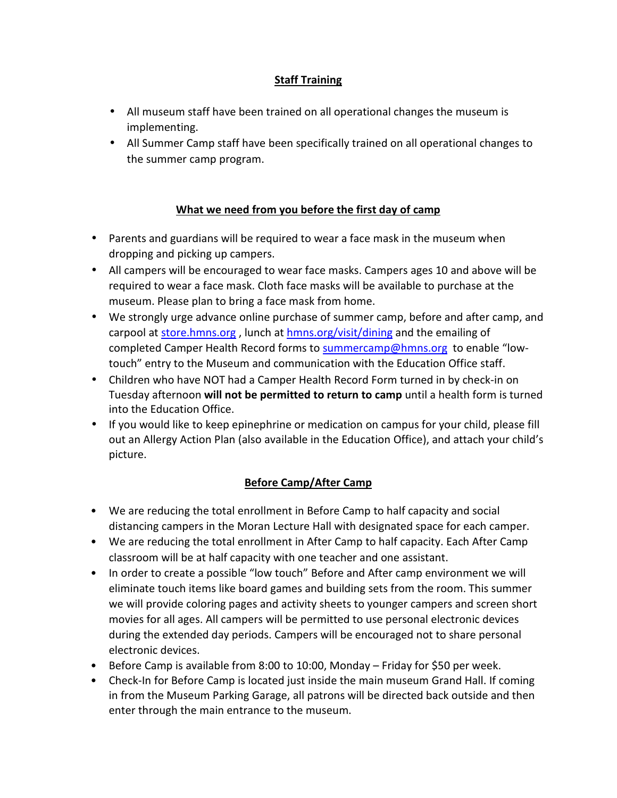## **Staff Training**

- All museum staff have been trained on all operational changes the museum is implementing.
- All Summer Camp staff have been specifically trained on all operational changes to the summer camp program.

#### **What we need from you before the first day of camp**

- Parents and guardians will be required to wear a face mask in the museum when dropping and picking up campers.
- All campers will be encouraged to wear face masks. Campers ages 10 and above will be required to wear a face mask. Cloth face masks will be available to purchase at the museum. Please plan to bring a face mask from home.
- We strongly urge advance online purchase of summer camp, before and after camp, and carpool at store.hmns.org , lunch at hmns.org/visit/dining and the emailing of completed Camper Health Record forms to summercamp@hmns.org to enable "lowtouch" entry to the Museum and communication with the Education Office staff.
- Children who have NOT had a Camper Health Record Form turned in by check-in on Tuesday afternoon **will not be permitted to return to camp** until a health form is turned into the Education Office.
- If you would like to keep epinephrine or medication on campus for your child, please fill out an Allergy Action Plan (also available in the Education Office), and attach your child's picture.

# **Before Camp/After Camp**

- We are reducing the total enrollment in Before Camp to half capacity and social distancing campers in the Moran Lecture Hall with designated space for each camper.
- We are reducing the total enrollment in After Camp to half capacity. Each After Camp classroom will be at half capacity with one teacher and one assistant.
- In order to create a possible "low touch" Before and After camp environment we will eliminate touch items like board games and building sets from the room. This summer we will provide coloring pages and activity sheets to younger campers and screen short movies for all ages. All campers will be permitted to use personal electronic devices during the extended day periods. Campers will be encouraged not to share personal electronic devices.
- Before Camp is available from 8:00 to 10:00, Monday Friday for \$50 per week.
- Check-In for Before Camp is located just inside the main museum Grand Hall. If coming in from the Museum Parking Garage, all patrons will be directed back outside and then enter through the main entrance to the museum.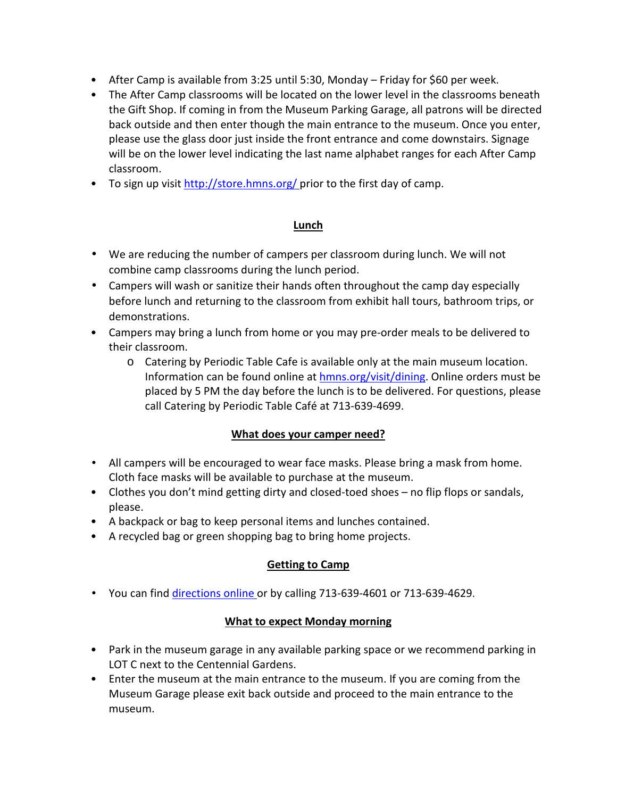- After Camp is available from 3:25 until 5:30, Monday Friday for \$60 per week.
- The After Camp classrooms will be located on the lower level in the classrooms beneath the Gift Shop. If coming in from the Museum Parking Garage, all patrons will be directed back outside and then enter though the main entrance to the museum. Once you enter, please use the glass door just inside the front entrance and come downstairs. Signage will be on the lower level indicating the last name alphabet ranges for each After Camp classroom.
- To sign up visit http://store.hmns.org/ prior to the first day of camp.

#### **Lunch**

- We are reducing the number of campers per classroom during lunch. We will not combine camp classrooms during the lunch period.
- Campers will wash or sanitize their hands often throughout the camp day especially before lunch and returning to the classroom from exhibit hall tours, bathroom trips, or demonstrations.
- Campers may bring a lunch from home or you may pre-order meals to be delivered to their classroom.
	- o Catering by Periodic Table Cafe is available only at the main museum location. Information can be found online at hmns.org/visit/dining. Online orders must be placed by 5 PM the day before the lunch is to be delivered. For questions, please call Catering by Periodic Table Café at 713-639-4699.

#### **What does your camper need?**

- All campers will be encouraged to wear face masks. Please bring a mask from home. Cloth face masks will be available to purchase at the museum.
- Clothes you don't mind getting dirty and closed-toed shoes no flip flops or sandals, please.
- A backpack or bag to keep personal items and lunches contained.
- A recycled bag or green shopping bag to bring home projects.

# **Getting to Camp**

• You can find directions online or by calling 713-639-4601 or 713-639-4629.

#### **What to expect Monday morning**

- Park in the museum garage in any available parking space or we recommend parking in LOT C next to the Centennial Gardens.
- Enter the museum at the main entrance to the museum. If you are coming from the Museum Garage please exit back outside and proceed to the main entrance to the museum.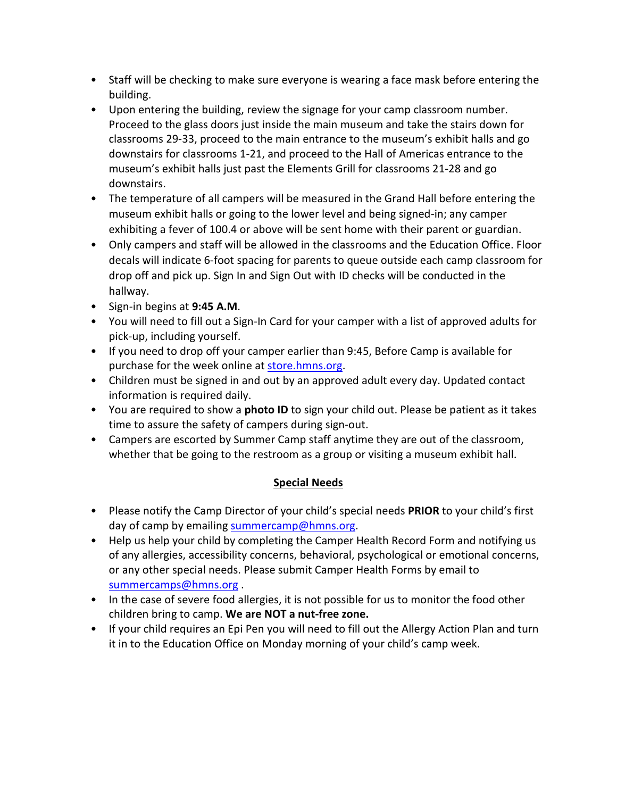- Staff will be checking to make sure everyone is wearing a face mask before entering the building.
- Upon entering the building, review the signage for your camp classroom number. Proceed to the glass doors just inside the main museum and take the stairs down for classrooms 29-33, proceed to the main entrance to the museum's exhibit halls and go downstairs for classrooms 1-21, and proceed to the Hall of Americas entrance to the museum's exhibit halls just past the Elements Grill for classrooms 21-28 and go downstairs.
- The temperature of all campers will be measured in the Grand Hall before entering the museum exhibit halls or going to the lower level and being signed-in; any camper exhibiting a fever of 100.4 or above will be sent home with their parent or guardian.
- Only campers and staff will be allowed in the classrooms and the Education Office. Floor decals will indicate 6-foot spacing for parents to queue outside each camp classroom for drop off and pick up. Sign In and Sign Out with ID checks will be conducted in the hallway.
- Sign-in begins at **9:45 A.M**.
- You will need to fill out a Sign-In Card for your camper with a list of approved adults for pick-up, including yourself.
- If you need to drop off your camper earlier than 9:45, Before Camp is available for purchase for the week online at store.hmns.org.
- Children must be signed in and out by an approved adult every day. Updated contact information is required daily.
- You are required to show a **photo ID** to sign your child out. Please be patient as it takes time to assure the safety of campers during sign-out.
- Campers are escorted by Summer Camp staff anytime they are out of the classroom, whether that be going to the restroom as a group or visiting a museum exhibit hall.

# **Special Needs**

- Please notify the Camp Director of your child's special needs **PRIOR** to your child's first day of camp by emailing summercamp@hmns.org.
- Help us help your child by completing the Camper Health Record Form and notifying us of any allergies, accessibility concerns, behavioral, psychological or emotional concerns, or any other special needs. Please submit Camper Health Forms by email to summercamps@hmns.org .
- In the case of severe food allergies, it is not possible for us to monitor the food other children bring to camp. **We are NOT a nut-free zone.**
- If your child requires an Epi Pen you will need to fill out the Allergy Action Plan and turn it in to the Education Office on Monday morning of your child's camp week.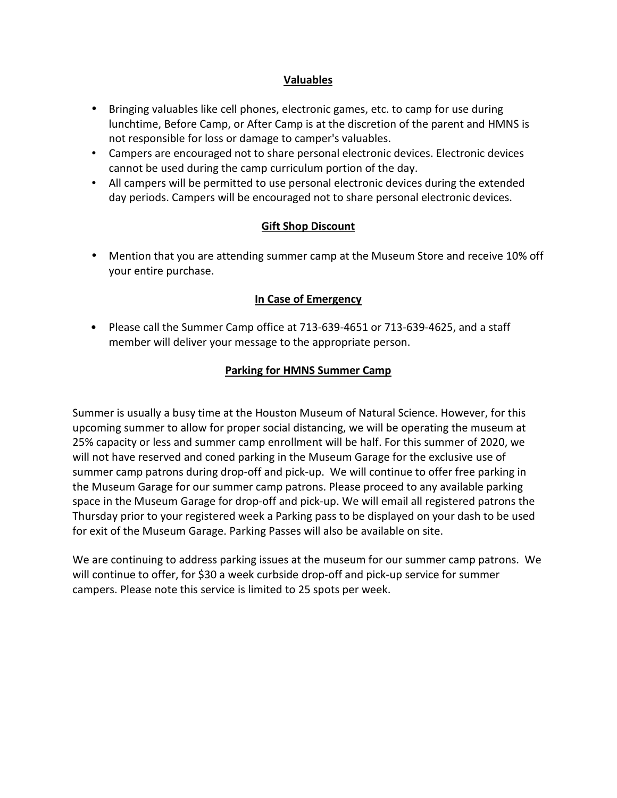#### **Valuables**

- Bringing valuables like cell phones, electronic games, etc. to camp for use during lunchtime, Before Camp, or After Camp is at the discretion of the parent and HMNS is not responsible for loss or damage to camper's valuables.
- Campers are encouraged not to share personal electronic devices. Electronic devices cannot be used during the camp curriculum portion of the day.
- All campers will be permitted to use personal electronic devices during the extended day periods. Campers will be encouraged not to share personal electronic devices.

#### **Gift Shop Discount**

• Mention that you are attending summer camp at the Museum Store and receive 10% off your entire purchase.

#### **In Case of Emergency**

• Please call the Summer Camp office at 713-639-4651 or 713-639-4625, and a staff member will deliver your message to the appropriate person.

#### **Parking for HMNS Summer Camp**

Summer is usually a busy time at the Houston Museum of Natural Science. However, for this upcoming summer to allow for proper social distancing, we will be operating the museum at 25% capacity or less and summer camp enrollment will be half. For this summer of 2020, we will not have reserved and coned parking in the Museum Garage for the exclusive use of summer camp patrons during drop-off and pick-up. We will continue to offer free parking in the Museum Garage for our summer camp patrons. Please proceed to any available parking space in the Museum Garage for drop-off and pick-up. We will email all registered patrons the Thursday prior to your registered week a Parking pass to be displayed on your dash to be used for exit of the Museum Garage. Parking Passes will also be available on site.

We are continuing to address parking issues at the museum for our summer camp patrons. We will continue to offer, for \$30 a week curbside drop-off and pick-up service for summer campers. Please note this service is limited to 25 spots per week.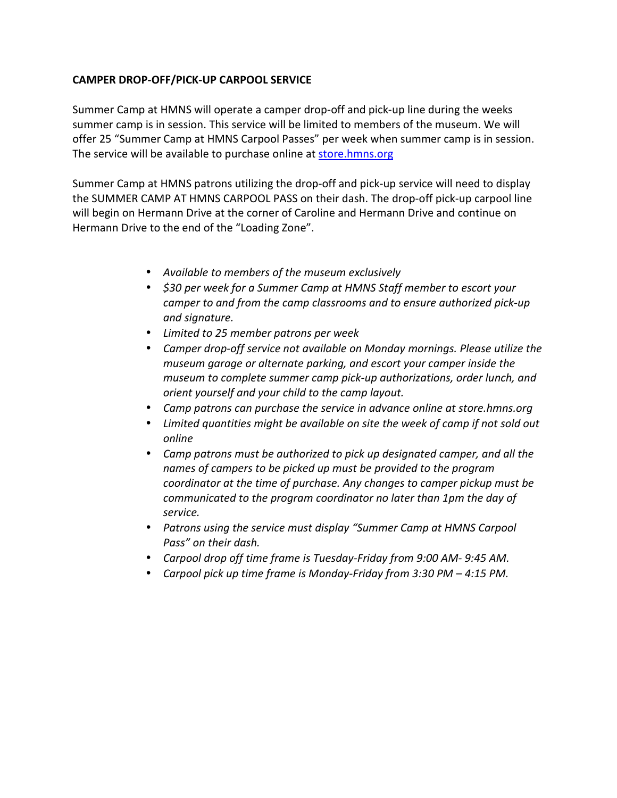#### **CAMPER DROP-OFF/PICK-UP CARPOOL SERVICE**

Summer Camp at HMNS will operate a camper drop-off and pick-up line during the weeks summer camp is in session. This service will be limited to members of the museum. We will offer 25 "Summer Camp at HMNS Carpool Passes" per week when summer camp is in session. The service will be available to purchase online at store.hmns.org

Summer Camp at HMNS patrons utilizing the drop-off and pick-up service will need to display the SUMMER CAMP AT HMNS CARPOOL PASS on their dash. The drop-off pick-up carpool line will begin on Hermann Drive at the corner of Caroline and Hermann Drive and continue on Hermann Drive to the end of the "Loading Zone".

- *Available to members of the museum exclusively*
- *\$30 per week for a Summer Camp at HMNS Staff member to escort your camper to and from the camp classrooms and to ensure authorized pick-up and signature.*
- *Limited to 25 member patrons per week*
- *Camper drop-off service not available on Monday mornings. Please utilize the museum garage or alternate parking, and escort your camper inside the museum to complete summer camp pick-up authorizations, order lunch, and orient yourself and your child to the camp layout.*
- *Camp patrons can purchase the service in advance online at store.hmns.org*
- *Limited quantities might be available on site the week of camp if not sold out online*
- *Camp patrons must be authorized to pick up designated camper, and all the names of campers to be picked up must be provided to the program coordinator at the time of purchase. Any changes to camper pickup must be communicated to the program coordinator no later than 1pm the day of service.*
- *Patrons using the service must display "Summer Camp at HMNS Carpool Pass" on their dash.*
- *Carpool drop off time frame is Tuesday-Friday from 9:00 AM- 9:45 AM.*
- *Carpool pick up time frame is Monday-Friday from 3:30 PM 4:15 PM.*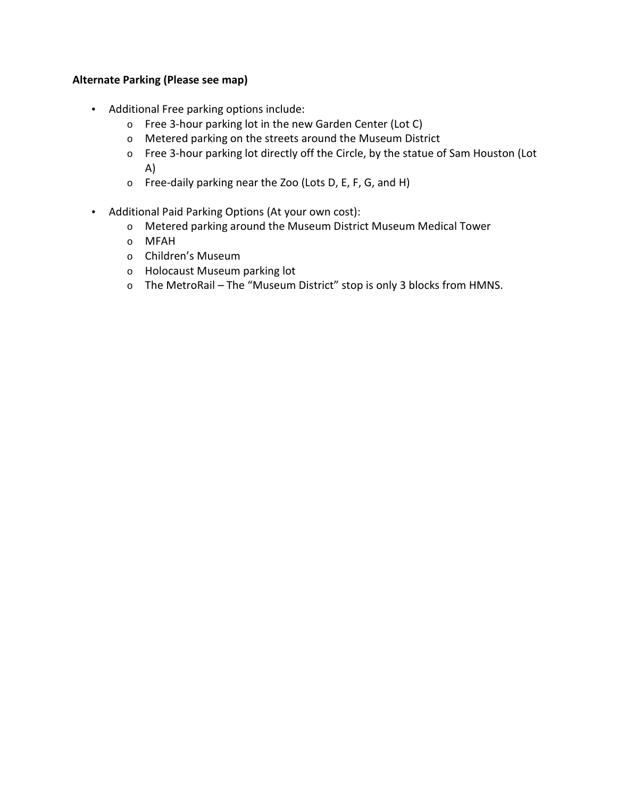#### **Alternate Parking (Please see map)**

- Additional Free parking options include:
	- o Free 3-hour parking lot in the new Garden Center (Lot C)
	- o Metered parking on the streets around the Museum District
	- o Free 3-hour parking lot directly off the Circle, by the statue of Sam Houston (Lot A)
	- o Free-daily parking near the Zoo (Lots D, E, F, G, and H)
- Additional Paid Parking Options (At your own cost):
	- o Metered parking around the Museum District Museum Medical Tower
	- o MFAH
	- o Children's Museum
	- o Holocaust Museum parking lot
	- o The MetroRail The "Museum District" stop is only 3 blocks from HMNS.